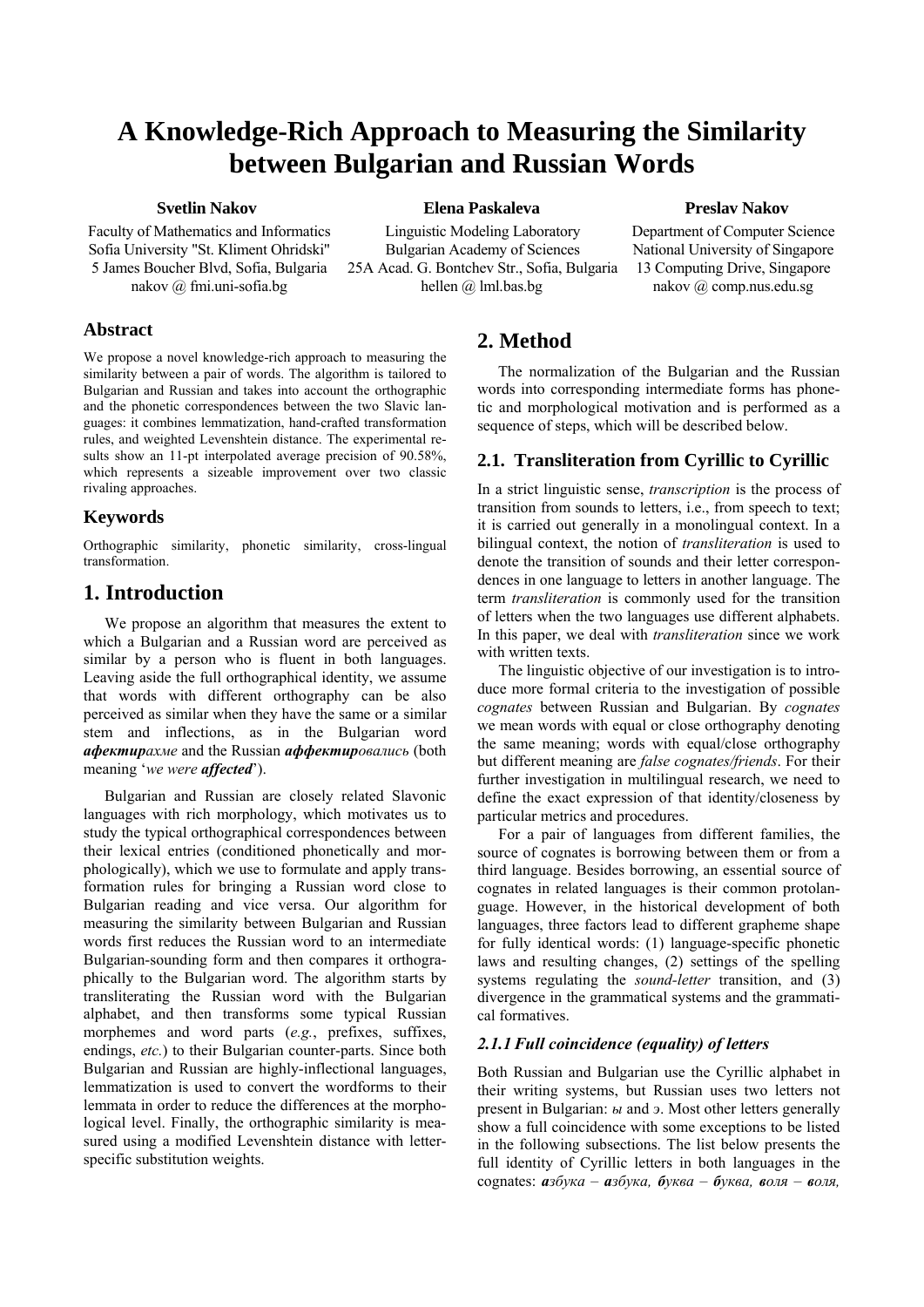# <span id="page-0-0"></span>**A Knowledge-Rich Approach to Measuring the Similarity between Bulgarian and Russian Words**

#### **Svetlin Nakov**

Faculty of Mathematics and Informatics Sofia University "St. Kliment Ohridski" 5 James Boucher Blvd, Sofia, Bulgaria nakov @ fmi.uni-sofia.bg

**Elena Paskaleva** 

#### **Preslav Nakov**

Linguistic Modeling Laboratory Bulgarian Academy of Sciences 25A Acad. G. Bontchev Str., Sofia, Bulgaria hellen @ lml.bas.bg

Department of Computer Science National University of Singapore 13 Computing Drive, Singapore nakov @ comp.nus.edu.sg

#### **Abstract**

We propose a novel knowledge-rich approach to measuring the similarity between a pair of words. The algorithm is tailored to Bulgarian and Russian and takes into account the orthographic and the phonetic correspondences between the two Slavic languages: it combines lemmatization, hand-crafted transformation rules, and weighted Levenshtein distance. The experimental results show an 11-pt interpolated average precision of 90.58%, which represents a sizeable improvement over two classic rivaling approaches.

#### **Keywords**

Orthographic similarity, phonetic similarity, cross-lingual transformation.

### **1. Introduction**

We propose an algorithm that measures the extent to which a Bulgarian and a Russian word are perceived as similar by a person who is fluent in both languages. Leaving aside the full orthographical identity, we assume that words with different orthography can be also perceived as similar when they have the same or a similar stem and inflections, as in the Bulgarian word *афектирахме* and the Russian *аффектировались* (both meaning '*we were affected*').

Bulgarian and Russian are closely related Slavonic languages with rich morphology, which motivates us to study the typical orthographical correspondences between their lexical entries (conditioned phonetically and morphologically), which we use to formulate and apply transformation rules for bringing a Russian word close to Bulgarian reading and vice versa. Our algorithm for measuring the similarity between Bulgarian and Russian words first reduces the Russian word to an intermediate Bulgarian-sounding form and then compares it orthographically to the Bulgarian word. The algorithm starts by transliterating the Russian word with the Bulgarian alphabet, and then transforms some typical Russian morphemes and word parts (*e.g.*, prefixes, suffixes, endings, *etc.*) to their Bulgarian counter-parts. Since both Bulgarian and Russian are highly-inflectional languages, lemmatization is used to convert the wordforms to their lemmata in order to reduce the differences at the morphological level. Finally, the orthographic similarity is measured using a modified Levenshtein distance with letterspecific substitution weights.

## **2. Method**

The normalization of the Bulgarian and the Russian words into corresponding intermediate forms has phonetic and morphological motivation and is performed as a sequence of steps, which will be described below.

#### **2.1. Transliteration from Cyrillic to Cyrillic**

In a strict linguistic sense, *transcription* is the process of transition from sounds to letters, i.e., from speech to text; it is carried out generally in a monolingual context. In a bilingual context, the notion of *transliteration* is used to denote the transition of sounds and their letter correspondences in one language to letters in another language. The term *transliteration* is commonly used for the transition of letters when the two languages use different alphabets. In this paper, we deal with *transliteration* since we work with written texts.

The linguistic objective of our investigation is to introduce more formal criteria to the investigation of possible *cognates* between Russian and Bulgarian. By *cognates* we mean words with equal or close orthography denoting the same meaning; words with equal/close orthography but different meaning are *false cognates/friends*. For their further investigation in multilingual research, we need to define the exact expression of that identity/closeness by particular metrics and procedures.

For a pair of languages from different families, the source of cognates is borrowing between them or from a third language. Besides borrowing, an essential source of cognates in related languages is their common protolanguage. However, in the historical development of both languages, three factors lead to different grapheme shape for fully identical words: (1) language-specific phonetic laws and resulting changes, (2) settings of the spelling systems regulating the *sound-letter* transition, and (3) divergence in the grammatical systems and the grammatical formatives.

#### *2.1.1Full coincidence (equality) of letters*

Both Russian and Bulgarian use the Cyrillic alphabet in their writing systems, but Russian uses two letters not present in Bulgarian: *ы* and *э*. Most other letters generally show a full coincidence with some exceptions to be listed in the following subsections. The list below presents the full identity of Cyrillic letters in both languages in the cognates: *азбука – азбука, буква – буква, воля – воля,*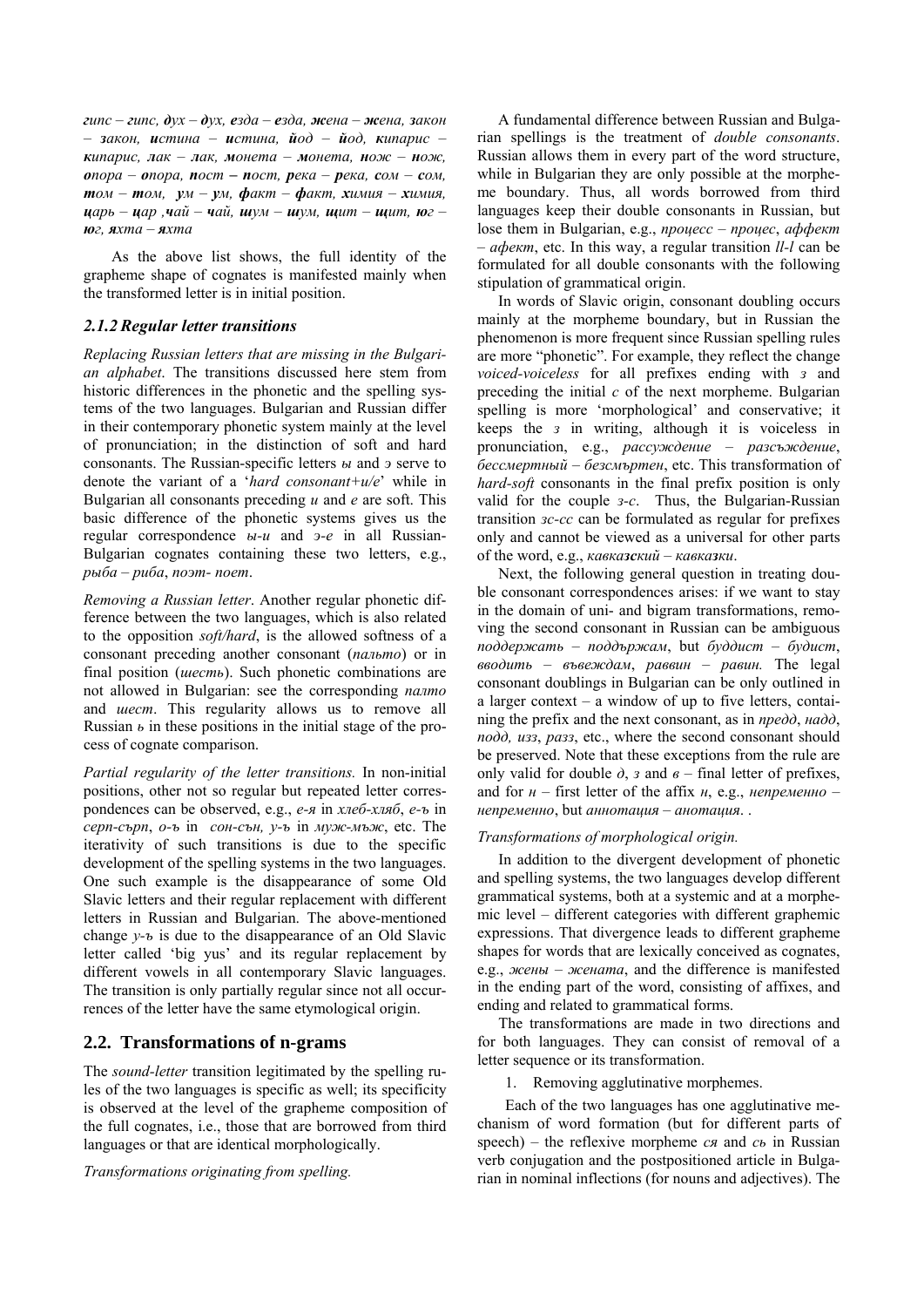гипс – гипс,  $\partial yx - \partial yx$ , езда – езда, жена – жена, закон *– закон, истина – истина, йод – йод, кипарис – кипарис, лак – лак, монета – монета, нож – нож, опора – опора, пост – пост, река – река, сом – сом,*   $m$ *ом* –  $m$ *ом*,  $y_M - y_M$ ,  $\phi$ *акт* –  $\phi$ *акт*, *химия* – *химия*,  $u$ арь - цар ,чай - чай, шум - шум, щит - щит, юг *юг, яхта – яхта*

As the above list shows, the full identity of the grapheme shape of cognates is manifested mainly when the transformed letter is in initial position.

#### *2.1.2Regular letter transitions*

*Replacing Russian letters that are missing in the Bulgarian alphabet*. The transitions discussed here stem from historic differences in the phonetic and the spelling systems of the two languages. Bulgarian and Russian differ in their contemporary phonetic system mainly at the level of pronunciation; in the distinction of soft and hard consonants. The Russian-specific letters *ы* and *э* serve to denote the variant of a '*hard consonant+и/е*' while in Bulgarian all consonants preceding *и* and *е* are soft. This basic difference of the phonetic systems gives us the regular correspondence *ы-и* and *э-е* in all Russian-Bulgarian cognates containing these two letters, e.g., *рыба – риба*, *поэт- поет*.

*Removing a Russian letter*. Another regular phonetic difference between the two languages, which is also related to the opposition *soft/hard*, is the allowed softness of a consonant preceding another consonant (*пальто*) or in final position (*шесть*). Such phonetic combinations are not allowed in Bulgarian: see the corresponding *палто* and *шест*. This regularity allows us to remove all Russian *ь* in these positions in the initial stage of the process of cognate comparison.

*Partial regularity of the letter transitions.* In non-initial positions, other not so regular but repeated letter correspondences can be observed, e.g., *е-я* in *хлеб-хляб*, *е-ъ* in *серп-сърп*, *о-ъ* in *сон-сън, у-ъ* in *муж-мъж*, etc. The iterativity of such transitions is due to the specific development of the spelling systems in the two languages. One such example is the disappearance of some Old Slavic letters and their regular replacement with different letters in Russian and Bulgarian. The above-mentioned change *у-ъ* is due to the disappearance of an Old Slavic letter called 'big yus' and its regular replacement by different vowels in all contemporary Slavic languages. The transition is only partially regular since not all occurrences of the letter have the same etymological origin.

#### **2.2. Transformations of n-grams**

The *sound-letter* transition legitimated by the spelling rules of the two languages is specific as well; its specificity is observed at the level of the grapheme composition of the full cognates, i.e., those that are borrowed from third languages or that are identical morphologically.

*Transformations originating from spelling.* 

A fundamental difference between Russian and Bulgarian spellings is the treatment of *double consonants*. Russian allows them in every part of the word structure, while in Bulgarian they are only possible at the morpheme boundary. Thus, all words borrowed from third languages keep their double consonants in Russian, but lose them in Bulgarian, e.g., *процесс – процес*, *аффект – афект*, etc. In this way, a regular transition *ll-l* can be formulated for all double consonants with the following stipulation of grammatical origin.

In words of Slavic origin, consonant doubling occurs mainly at the morpheme boundary, but in Russian the phenomenon is more frequent since Russian spelling rules are more "phonetic". For example, they reflect the change *voiced-voiceless* for all prefixes ending with *з* and preceding the initial *с* of the next morpheme. Bulgarian spelling is more 'morphological' and conservative; it keeps the *з* in writing, although it is voiceless in pronunciation, e.g., *рассуждение* – *разсъждение*, *бессмертный* – *безсмъртен*, etc. This transformation of *hard-soft* consonants in the final prefix position is only valid for the couple *3-c*. Thus, the Bulgarian-Russian transition *зс-сс* can be formulated as regular for prefixes only and cannot be viewed as a universal for other parts of the word, e.g., *кавказский* – *кавказки*.

Next, the following general question in treating double consonant correspondences arises: if we want to stay in the domain of uni- and bigram transformations, removing the second consonant in Russian can be ambiguous *поддержать – поддържам*, but *буддист – будист*, *вводить* – *въвеждам*, *раввин* – *равин.* The legal consonant doublings in Bulgarian can be only outlined in a larger context – a window of up to five letters, containing the prefix and the next consonant, as in *предд*, *надд*, *подд, изз*, *разз*, etc., where the second consonant should be preserved. Note that these exceptions from the rule are only valid for double  $\partial$ , *3* and  $\theta$  – final letter of prefixes, and for  $H -$  first letter of the affix  $H$ , e.g., *непременно* – *непременно*, but *аннотация – анотация*. .

#### *Transformations of morphological origin.*

In addition to the divergent development of phonetic and spelling systems, the two languages develop different grammatical systems, both at a systemic and at a morphemic level – different categories with different graphemic expressions. That divergence leads to different grapheme shapes for words that are lexically conceived as cognates, e.g., *жены – жената*, and the difference is manifested in the ending part of the word, consisting of affixes, and ending and related to grammatical forms.

The transformations are made in two directions and for both languages. They can consist of removal of a letter sequence or its transformation.

1. Removing agglutinative morphemes.

Each of the two languages has one agglutinative mechanism of word formation (but for different parts of speech) – the reflexive morpheme *ся* and *сь* in Russian verb conjugation and the postpositioned article in Bulgarian in nominal inflections (for nouns and adjectives). The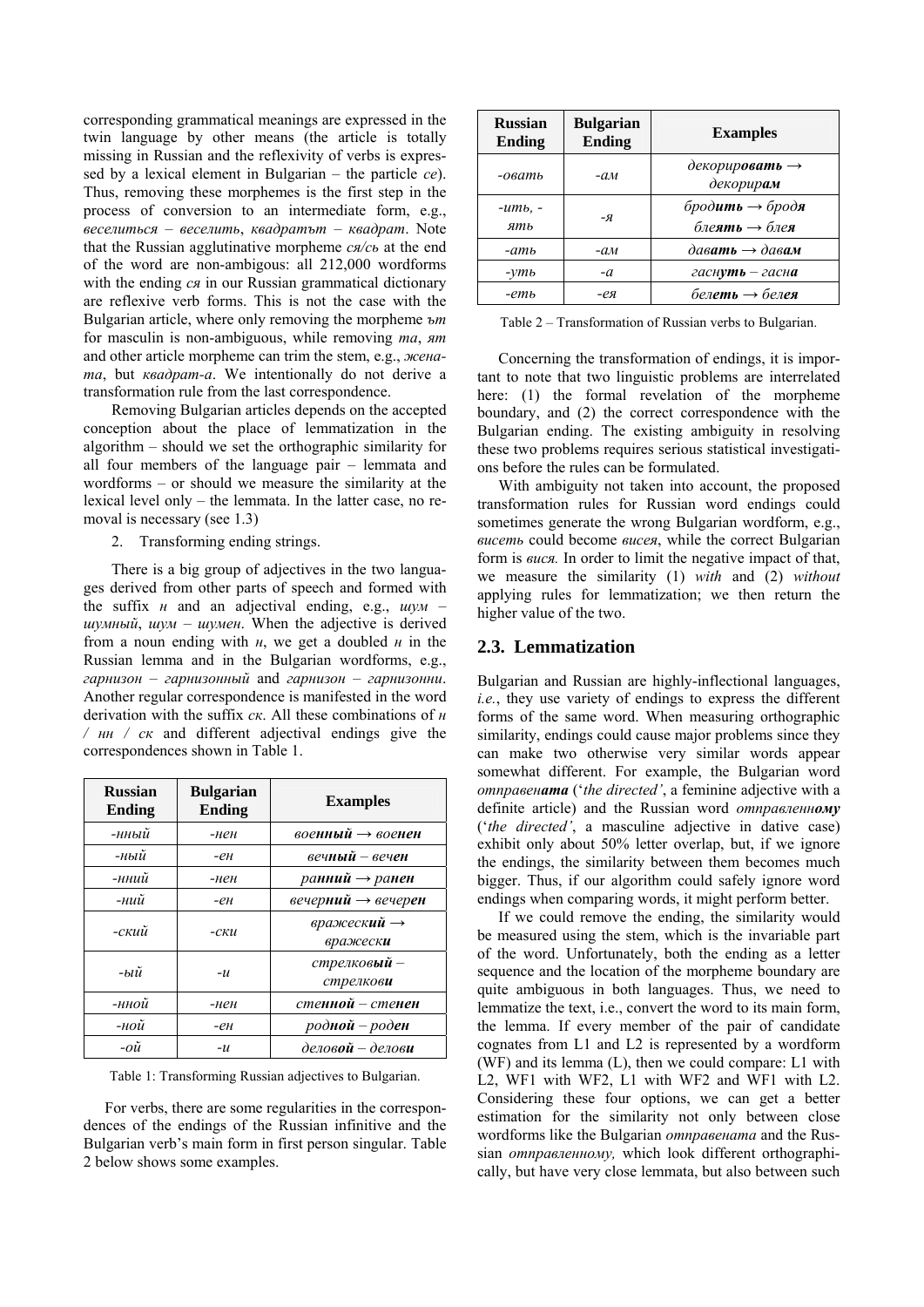corresponding grammatical meanings are expressed in the twin language by other means (the article is totally missing in Russian and the reflexivity of verbs is expressed by a lexical element in Bulgarian – the particle *се*). Thus, removing these morphemes is the first step in the process of conversion to an intermediate form, e.g., *веселиться* – *веселить*, *квадратът* – *квадрат*. Note that the Russian agglutinative morpheme *ся/сь* at the end of the word are non-ambigous: all 212,000 wordforms with the ending *ся* in our Russian grammatical dictionary are reflexive verb forms. This is not the case with the Bulgarian article, where only removing the morpheme *ът* for masculin is non-ambiguous, while removing *та*, *ят* and other article morpheme can trim the stem, e.g., *жената*, but *квадрат-а*. We intentionally do not derive a transformation rule from the last correspondence.

Removing Bulgarian articles depends on the accepted conception about the place of lemmatization in the algorithm – should we set the orthographic similarity for all four members of the language pair – lemmata and wordforms – or should we measure the similarity at the lexical level only – the lemmata. In the latter case, no removal is necessary (see 1.3)

2. Transforming ending strings.

There is a big group of adjectives in the two languages derived from other parts of speech and formed with the suffix *н* and an adjectival ending, e.g., *шум – шумный*, *шум* – *шумен*. When the adjective is derived from a noun ending with *н*, we get a doubled *н* in the Russian lemma and in the Bulgarian wordforms, e.g., *гарнизон* – *гарнизонный* and *гарнизон* – *гарнизонни*. Another regular correspondence is manifested in the word derivation with the suffix *ск*. All these combinations of *н / нн / ск* and different adjectival endings give the correspondences shown in Table 1.

| <b>Russian</b><br><b>Ending</b> | <b>Bulgarian</b><br><b>Ending</b> | <b>Examples</b>                                |  |  |
|---------------------------------|-----------------------------------|------------------------------------------------|--|--|
| -нный                           | -нен                              | военный $\rightarrow$ военен                   |  |  |
| -ный                            | -ен                               | веч <b>ный</b> – веч <b>ен</b>                 |  |  |
| -нний                           | -нен                              | ранний $\rightarrow$ ранен                     |  |  |
| -ний                            | -ен                               | вечер <b>ний</b> $\rightarrow$ вечерен         |  |  |
| -ский                           | -ски                              | вражеск <b>ий</b> —<br>вражеск <b>и</b>        |  |  |
| $-hl\tilde{u}$                  | $-u$                              | стрелков <b>ый</b> –<br>стрелков <b>и</b>      |  |  |
| -нной                           | -нен                              | стенной – стенен                               |  |  |
| -ной                            | $-eH$                             | $\boldsymbol{p}$ одной – $\boldsymbol{p}$ оден |  |  |
| -ой                             | $-u$                              | деловой – делови                               |  |  |

Table 1: Transforming Russian adjectives to Bulgarian.

For verbs, there are some regularities in the correspondences of the endings of the Russian infinitive and the Bulgarian verb's main form in first person singular. Table 2 below shows some examples.

| <b>Russian</b><br>Ending | <b>Bulgarian</b><br><b>Ending</b> | <b>Examples</b>                                                                  |
|--------------------------|-----------------------------------|----------------------------------------------------------------------------------|
| -овать                   | -aм                               | декорир <b>овать</b> $\rightarrow$<br>декорирам                                  |
| $-umb$ . $-$<br>ять      | -я                                | $\delta$ родить $\rightarrow$ бродя<br>бле <b>ять</b> $\rightarrow$ бле <b>я</b> |
| -ать                     | $-a_{\mathcal{M}}$                | давать $\rightarrow$ давам                                                       |
| -vmь                     | -a                                | гасн <b>уть</b> – гасн <b>а</b>                                                  |
| -еть                     | -ея                               | белеть $\rightarrow$ белея                                                       |

Table 2 – Transformation of Russian verbs to Bulgarian.

Concerning the transformation of endings, it is important to note that two linguistic problems are interrelated here: (1) the formal revelation of the morpheme boundary, and (2) the correct correspondence with the Bulgarian ending. The existing ambiguity in resolving these two problems requires serious statistical investigations before the rules can be formulated.

With ambiguity not taken into account, the proposed transformation rules for Russian word endings could sometimes generate the wrong Bulgarian wordform, e.g., *висеть* could become *висея*, while the correct Bulgarian form is *вися.* In order to limit the negative impact of that, we measure the similarity (1) *with* and (2) *without* applying rules for lemmatization; we then return the higher value of the two.

#### **2.3. Lemmatization**

Bulgarian and Russian are highly-inflectional languages, *i.e.*, they use variety of endings to express the different forms of the same word. When measuring orthographic similarity, endings could cause major problems since they can make two otherwise very similar words appear somewhat different. For example, the Bulgarian word *отправената* ('*the directed'*, a feminine adjective with a definite article) and the Russian word *отправленному* ('*the directed'*, a masculine adjective in dative case) exhibit only about 50% letter overlap, but, if we ignore the endings, the similarity between them becomes much bigger. Thus, if our algorithm could safely ignore word endings when comparing words, it might perform better.

If we could remove the ending, the similarity would be measured using the stem, which is the invariable part of the word. Unfortunately, both the ending as a letter sequence and the location of the morpheme boundary are quite ambiguous in both languages. Thus, we need to lemmatize the text, i.e., convert the word to its main form, the lemma. If every member of the pair of candidate cognates from L1 and L2 is represented by a wordform (WF) and its lemma (L), then we could compare: L1 with L2, WF1 with WF2, L1 with WF2 and WF1 with L2. Considering these four options, we can get a better estimation for the similarity not only between close wordforms like the Bulgarian *отправената* and the Russian *отправленному,* which look different orthographically, but have very close lemmata, but also between such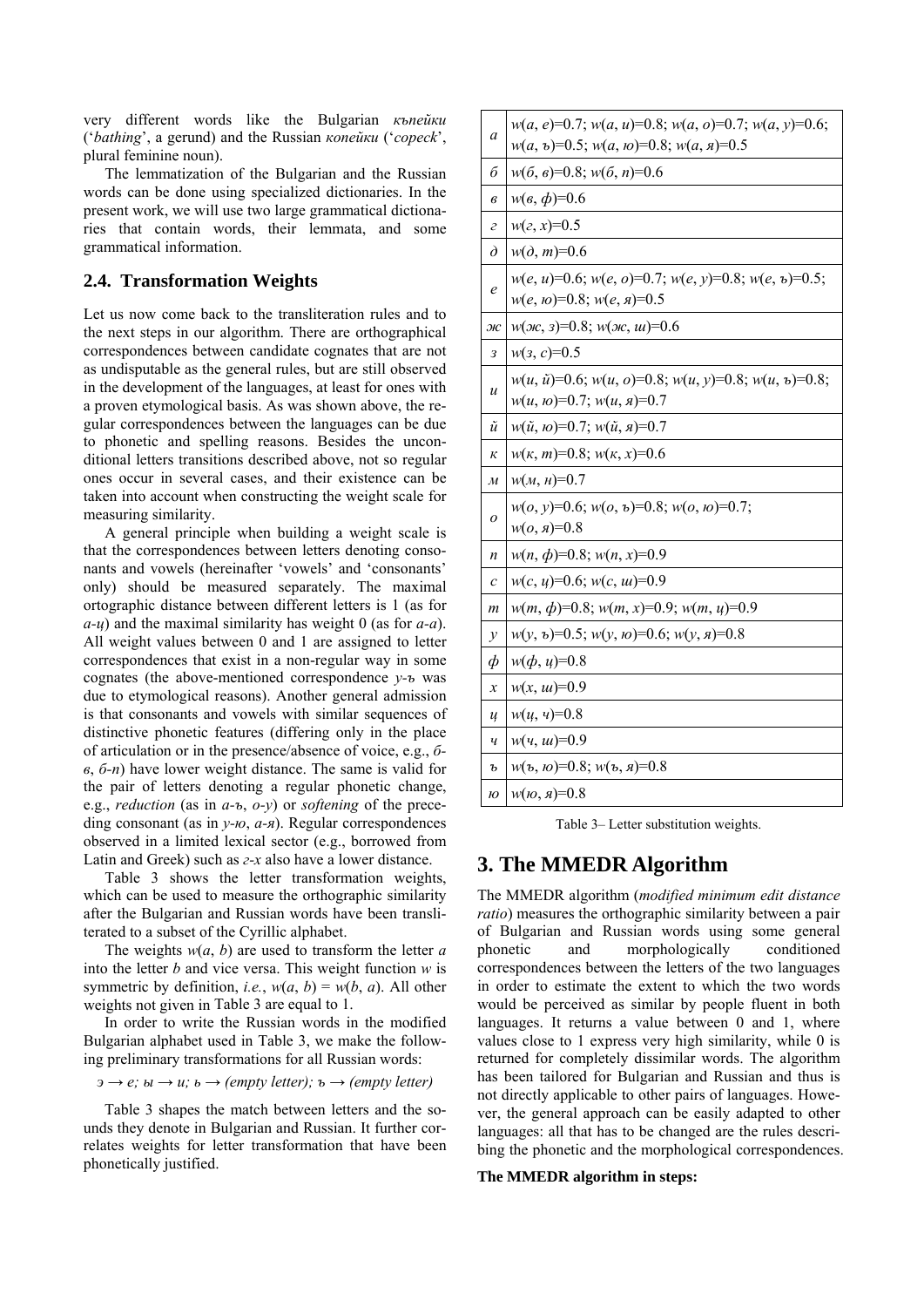very different words like the Bulgarian *къпейки* ('*bathing*', a gerund) and the Russian *копейки* ('*copeck*', plural feminine noun).

The lemmatization of the Bulgarian and the Russian words can be done using specialized dictionaries. In the present work, we will use two large grammatical dictionaries that contain words, their lemmata, and some grammatical information.

#### **2.4. Transformation Weights**

Let us now come back to the transliteration rules and to the next steps in our algorithm. There are orthographical correspondences between candidate cognates that are not as undisputable as the general rules, but are still observed in the development of the languages, at least for ones with a proven etymological basis. As was shown above, the regular correspondences between the languages can be due to phonetic and spelling reasons. Besides the unconditional letters transitions described above, not so regular ones occur in several cases, and their existence can be taken into account when constructing the weight scale for measuring similarity.

A general principle when building a weight scale is that the correspondences between letters denoting consonants and vowels (hereinafter 'vowels' and 'consonants' only) should be measured separately. The maximal ortographic distance between different letters is 1 (as for *а-ц*) and the maximal similarity has weight 0 (as for *а-а*). All weight values between 0 and 1 are assigned to letter correspondences that exist in a non-regular way in some cognates (the above-mentioned correspondence *у-ъ* was due to etymological reasons). Another general admission is that consonants and vowels with similar sequences of distinctive phonetic features (differing only in the place of articulation or in the presence/absence of voice, e.g., *бв*, *б-п*) have lower weight distance. The same is valid for the pair of letters denoting a regular phonetic change, e.g., *reduction* (as in *а-ъ*, *о-у*) or *softening* of the preceding consonant (as in *у-ю*, *а-я*). Regular correspondences observed in a limited lexical sector (e.g., borrowed from Latin and Greek) such as *г-х* also have a lower distance.

Table 3 shows the letter transformation weights, which can be used to measure the orthographic similarity after the Bulgarian and Russian words have been transliterated to a subset of the Cyrillic alphabet.

The weights  $w(a, b)$  are used to transform the letter *a* into the letter *b* and vice versa. This weight function *w* is symmetric by definition, *i.e.*,  $w(a, b) = w(b, a)$ . All other weights not given in [Table 3](#page-0-0) are equal to 1.

In order to write the Russian words in the modified Bulgarian alphabet used in [Table 3](#page-0-0), we make the following preliminary transformations for all Russian words:

 $\Rightarrow$  *е*; *ы* → *и*; *ь* → *(empty letter); ъ → <i>(empty letter)* 

[Table 3](#page-0-0) shapes the match between letters and the sounds they denote in Bulgarian and Russian. It further correlates weights for letter transformation that have been phonetically justified.

| $\boldsymbol{a}$    | $w(a, e)=0.7$ ; $w(a, u)=0.8$ ; $w(a, o)=0.7$ ; $w(a, y)=0.6$ ;         |
|---------------------|-------------------------------------------------------------------------|
|                     | $w(a, b)=0.5; w(a, b)=0.8; w(a, a)=0.5$                                 |
| б                   | $w(6, \theta)=0.8; w(6, n)=0.6$                                         |
| в                   | $w(e, \phi) = 0.6$                                                      |
| г                   | $w(z, x)=0.5$                                                           |
| $\partial$          | $w(\partial, m)=0.6$                                                    |
| е                   | $w(e, u)=0.6; w(e, o)=0.7; w(e, y)=0.8; w(e, b)=0.5;$                   |
|                     | $w(e, w)=0.8; w(e, a)=0.5$                                              |
| ж                   | $w(\pi, 3)=0.8; w(\pi, u)=0.6$                                          |
| 3                   | $w(s, c)=0.5$                                                           |
|                     | $w(u, \tilde{u})=0.6$ ; $w(u, o)=0.8$ ; $w(u, y)=0.8$ ; $w(u, b)=0.8$ ; |
| $\mathcal{U}$       | $w(u, w) = 0.7; w(u, a) = 0.7$                                          |
| ŭ                   | $w(\tilde{u},\omega) = 0.7; w(\tilde{u},\omega) = 0.7$                  |
| к                   | $w(\kappa, m) = 0.8; w(\kappa, x) = 0.6$                                |
| м                   | $w(M, H)=0.7$                                                           |
|                     | $w(o, y)=0.6; w(o, b)=0.8; w(o, w)=0.7;$                                |
| 0                   | $w(o, a)=0.8$                                                           |
| n                   | $w(n, \phi) = 0.8$ ; $w(n, x) = 0.9$                                    |
| C                   | $w(c, y)=0.6; w(c, u)=0.9$                                              |
| m                   | $w(m, \phi) = 0.8$ ; $w(m, x) = 0.9$ ; $w(m, u) = 0.9$                  |
| $\mathcal{Y}$       | $w(y, \mathbf{b})=0.5; w(y, \mathbf{b})=0.6; w(y, \mathbf{a})=0.8$      |
| ф                   | $w(\phi, \mu)=0.8$                                                      |
| $\boldsymbol{\chi}$ | $w(x, u) = 0.9$                                                         |
| ų                   | $w(u, u)=0.8$                                                           |
| ч                   | $w(u, u) = 0.9$                                                         |
| ъ                   | $w(b, \omega) = 0.8; w(b, \omega) = 0.8$                                |
| ю                   | $w(\omega, a)=0.8$                                                      |

Table 3– Letter substitution weights.

# **3. The MMEDR Algorithm**

The MMEDR algorithm (*modified minimum edit distance ratio*) measures the orthographic similarity between a pair of Bulgarian and Russian words using some general phonetic and morphologically conditioned correspondences between the letters of the two languages in order to estimate the extent to which the two words would be perceived as similar by people fluent in both languages. It returns a value between 0 and 1, where values close to 1 express very high similarity, while 0 is returned for completely dissimilar words. The algorithm has been tailored for Bulgarian and Russian and thus is not directly applicable to other pairs of languages. However, the general approach can be easily adapted to other languages: all that has to be changed are the rules describing the phonetic and the morphological correspondences.

#### **The MMEDR algorithm in steps:**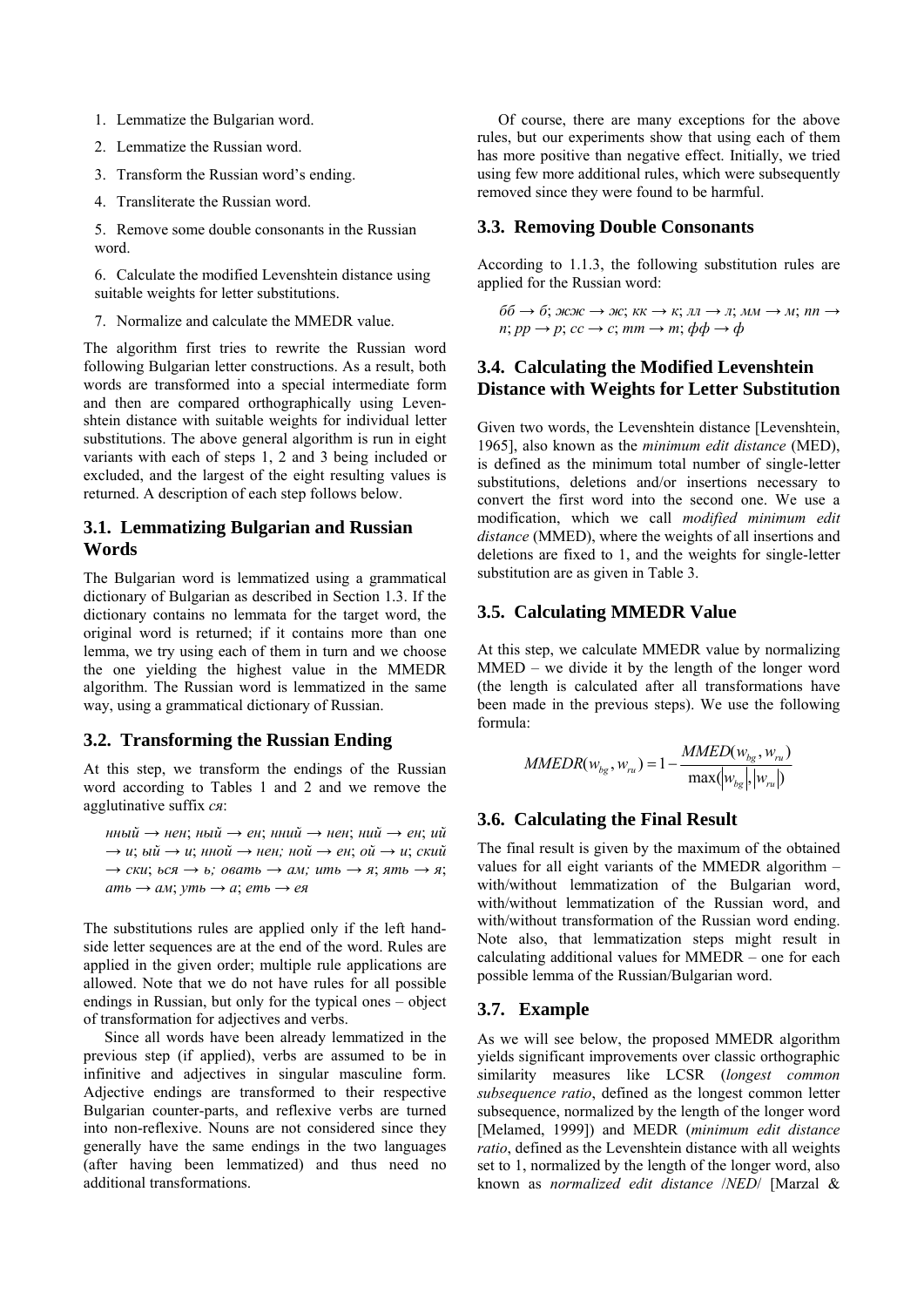1. Lemmatize the Bulgarian word.

2. Lemmatize the Russian word.

3. Transform the Russian word's ending.

4. Transliterate the Russian word.

5. Remove some double consonants in the Russian word.

6. Calculate the modified Levenshtein distance using suitable weights for letter substitutions.

7. Normalize and calculate the MMEDR value.

The algorithm first tries to rewrite the Russian word following Bulgarian letter constructions. As a result, both words are transformed into a special intermediate form and then are compared orthographically using Levenshtein distance with suitable weights for individual letter substitutions. The above general algorithm is run in eight variants with each of steps 1, 2 and 3 being included or excluded, and the largest of the eight resulting values is returned. A description of each step follows below.

### **3.1. Lemmatizing Bulgarian and Russian Words**

The Bulgarian word is lemmatized using a grammatical dictionary of Bulgarian as described in [Section 1.3](#page-0-0). If the dictionary contains no lemmata for the target word, the original word is returned; if it contains more than one lemma, we try using each of them in turn and we choose the one yielding the highest value in the MMEDR algorithm. The Russian word is lemmatized in the same way, using a grammatical dictionary of Russian.

#### **3.2. Transforming the Russian Ending**

At this step, we transform the endings of the Russian word according to [Tables](#page-0-0) 1 and 2 and we remove the agglutinative suffix *ся*:

*нный → нен*; *ный → ен*; *нний → нен*; *ний → ен*; *ий → и*; *ый → и*; *нной → нен; ной → ен*; *ой → и*; *ский*  $\rightarrow$  *cku*; *ься*  $\rightarrow$  *ь; овать*  $\rightarrow$  *ам; ить*  $\rightarrow$  *я*; *ять*  $\rightarrow$  *я*; *ать → ам*; *уть → а*; *еть → ея*

The substitutions rules are applied only if the left handside letter sequences are at the end of the word. Rules are applied in the given order; multiple rule applications are allowed. Note that we do not have rules for all possible endings in Russian, but only for the typical ones – object of transformation for adjectives and verbs.

Since all words have been already lemmatized in the previous step (if applied), verbs are assumed to be in infinitive and adjectives in singular masculine form. Adjective endings are transformed to their respective Bulgarian counter-parts, and reflexive verbs are turned into non-reflexive. Nouns are not considered since they generally have the same endings in the two languages (after having been lemmatized) and thus need no additional transformations.

Of course, there are many exceptions for the above rules, but our experiments show that using each of them has more positive than negative effect. Initially, we tried using few more additional rules, which were subsequently removed since they were found to be harmful.

#### **3.3. Removing Double Consonants**

According to [1.1.3,](#page-0-0) the following substitution rules are applied for the Russian word:

```
бб → б; жж → ж; кк → к; лл → л; мм → м; пп →
n; pp \rightarrow p; cc \rightarrow c; mm \rightarrow m; \phi\phi \rightarrow \phi
```
### **3.4. Calculating the Modified Levenshtein Distance with Weights for Letter Substitution**

Given two words, the Levenshtein distance [\[Levenshtein,](#page-7-0)  [1965\]](#page-7-0), also known as the *minimum edit distance* (MED), is defined as the minimum total number of single-letter substitutions, deletions and/or insertions necessary to convert the first word into the second one. We use a modification, which we call *modified minimum edit distance* (MMED), where the weights of all insertions and deletions are fixed to 1, and the weights for single-letter substitution are as given in [Table 3](#page-0-0).

#### **3.5. Calculating MMEDR Value**

At this step, we calculate MMEDR value by normalizing MMED – we divide it by the length of the longer word (the length is calculated after all transformations have been made in the previous steps). We use the following formula:

$$
MMEDR(w_{bg}, w_{ru}) = 1 - \frac{MMED(w_{bg}, w_{ru})}{\max(|w_{bg}|, |w_{ru}|)}
$$

#### **3.6. Calculating the Final Result**

The final result is given by the maximum of the obtained values for all eight variants of the MMEDR algorithm – with/without lemmatization of the Bulgarian word, with/without lemmatization of the Russian word, and with/without transformation of the Russian word ending. Note also, that lemmatization steps might result in calculating additional values for MMEDR – one for each possible lemma of the Russian/Bulgarian word.

#### **3.7. Example**

As we will see below, the proposed MMEDR algorithm yields significant improvements over classic orthographic similarity measures like LCSR (*longest common subsequence ratio*, defined as the longest common letter subsequence, normalized by the length of the longer word [\[Melamed, 1999\]\)](#page-7-0) and MEDR (*minimum edit distance ratio*, defined as the Levenshtein distance with all weights set to 1, normalized by the length of the longer word, also known as *normalized edit distance* /*NED*/ [\[Marzal &](#page-7-0)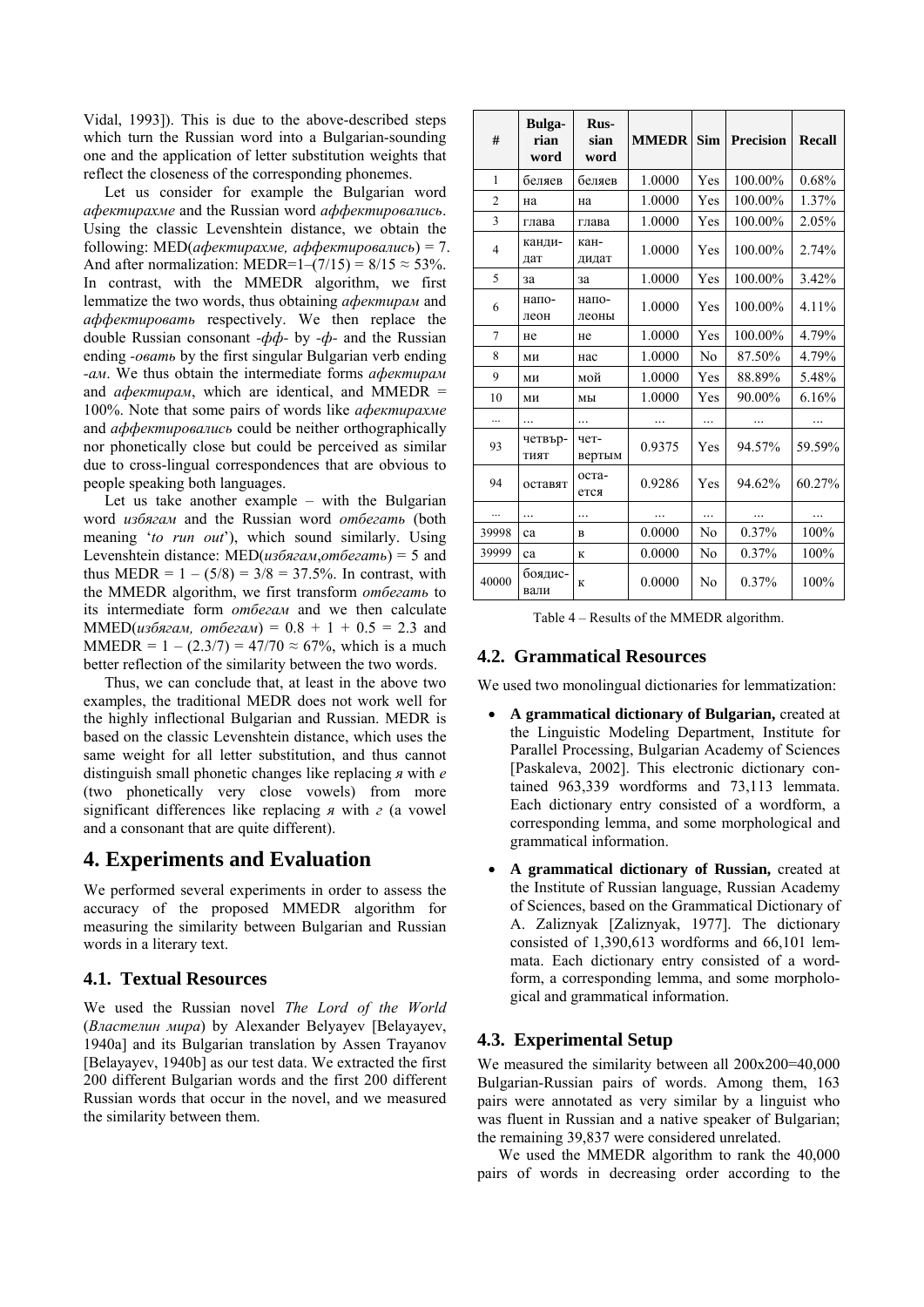[Vidal, 1993\]\)](#page-7-0). This is due to the above-described steps which turn the Russian word into a Bulgarian-sounding one and the application of letter substitution weights that reflect the closeness of the corresponding phonemes.

Let us consider for example the Bulgarian word *афектирахме* and the Russian word *аффектировались*. Using the classic Levenshtein distance, we obtain the following: MED(*афектирахме, аффектировались*) = 7. And after normalization: MEDR=1–(7/15) =  $8/15 \approx 53\%$ . In contrast, with the MMEDR algorithm, we first lemmatize the two words, thus obtaining *афектирам* and *аффектировать* respectively. We then replace the double Russian consonant *-фф-* by *-ф-* and the Russian ending *-овать* by the first singular Bulgarian verb ending *-ам*. We thus obtain the intermediate forms *афектирам* and *афектирам*, which are identical, and MMEDR = 100%. Note that some pairs of words like *афектирахме* and *аффектировались* could be neither orthographically nor phonetically close but could be perceived as similar due to cross-lingual correspondences that are obvious to people speaking both languages.

Let us take another example – with the Bulgarian word *избягам* and the Russian word *отбегать* (both meaning '*to run out*'), which sound similarly. Using Levenshtein distance: MED(*избягам*,*отбегать*) = 5 and thus MEDR =  $1 - (5/8) = 3/8 = 37.5%$ . In contrast, with the MMEDR algorithm, we first transform *отбегать* to its intermediate form *отбегам* and we then calculate MMED(*избягам, отбегам*) = 0.8 + 1 + 0.5 = 2.3 and  $MMEDR = 1 - (2.3/7) = 47/70 \approx 67\%$ , which is a much better reflection of the similarity between the two words.

Thus, we can conclude that, at least in the above two examples, the traditional MEDR does not work well for the highly inflectional Bulgarian and Russian. MEDR is based on the classic Levenshtein distance, which uses the same weight for all letter substitution, and thus cannot distinguish small phonetic changes like replacing *я* with *е* (two phonetically very close vowels) from more significant differences like replacing *я* with *г* (a vowel and a consonant that are quite different).

# **4. Experiments and Evaluation**

We performed several experiments in order to assess the accuracy of the proposed MMEDR algorithm for measuring the similarity between Bulgarian and Russian words in a literary text.

#### **4.1. Textual Resources**

We used the Russian novel *The Lord of the World* (*Властелин мира*) by Alexander Belyayev [\[Belayayev,](#page-7-0)  [1940a\]](#page-7-0) and its Bulgarian translation by Assen Trayanov [\[Belayayev, 1940b\]](#page-7-0) as our test data. We extracted the first 200 different Bulgarian words and the first 200 different Russian words that occur in the novel, and we measured the similarity between them.

| #              | <b>Bulga-</b><br>rian<br>word | Rus-<br>sian<br>word | <b>MMEDR</b> | Sim            | <b>Precision</b> | <b>Recall</b> |
|----------------|-------------------------------|----------------------|--------------|----------------|------------------|---------------|
| 1              | беляев                        | беляев               | 1.0000       | Yes            | 100.00%          | 0.68%         |
| $\overline{2}$ | на                            | на                   | 1.0000       | Yes            | 100.00%          | 1.37%         |
| 3              | глава                         | глава                | 1.0000       | Yes            | 100.00%          | 2.05%         |
| $\overline{4}$ | канди-<br>дат                 | кан-<br>дидат        | 1.0000       | Yes            | 100.00%          | 2.74%         |
| 5              | за                            | за                   | 1.0000       | Yes            | 100.00%          | 3.42%         |
| 6              | напо-<br>леон                 | напо-<br>леоны       | 1.0000       | Yes            | 100.00%          | 4.11%         |
| 7              | He                            | He                   | 1.0000       | Yes            | 100.00%          | 4.79%         |
| 8              | МИ                            | нас                  | 1.0000       | N <sub>0</sub> | 87.50%           | 4.79%         |
| 9              | МИ                            | мой                  | 1.0000       | Yes            | 88.89%           | 5.48%         |
| 10             | МИ                            | МЫ                   | 1.0000       | Yes            | 90.00%           | 6.16%         |
|                |                               |                      |              |                |                  |               |
| 93             | четвър-<br><b>TRNT</b>        | чет-<br>вертым       | 0.9375       | Yes            | 94.57%           | 59.59%        |
| 94             | оставят                       | оста-<br>ется        | 0.9286       | Yes            | 94.62%           | 60.27%        |
|                | .                             | .                    | .            |                | .                | .             |
| 39998          | ca                            | B                    | 0.0000       | No             | 0.37%            | 100%          |
| 39999          | ca                            | $\mathbf K$          | 0.0000       | No             | 0.37%            | 100%          |
| 40000          | боядис-<br>вали               | К                    | 0.0000       | No             | 0.37%            | 100%          |

### **4.2. Grammatical Resources**

We used two monolingual dictionaries for lemmatization:

- **A grammatical dictionary of Bulgarian,** created at the Linguistic Modeling Department, Institute for Parallel Processing, Bulgarian Academy of Sciences [\[Paskaleva, 2002\]](#page-7-0). This electronic dictionary contained 963,339 wordforms and 73,113 lemmata. Each dictionary entry consisted of a wordform, a corresponding lemma, and some morphological and grammatical information.
- **A grammatical dictionary of Russian,** created at the Institute of Russian language, Russian Academy of Sciences, based on the Grammatical Dictionary of A. Zaliznyak [\[Zaliznyak, 1977\].](#page-7-0) The dictionary consisted of 1,390,613 wordforms and 66,101 lemmata. Each dictionary entry consisted of a wordform, a corresponding lemma, and some morphological and grammatical information.

### **4.3. Experimental Setup**

We measured the similarity between all 200x200=40,000 Bulgarian-Russian pairs of words. Among them, 163 pairs were annotated as very similar by a linguist who was fluent in Russian and a native speaker of Bulgarian; the remaining 39,837 were considered unrelated.

We used the MMEDR algorithm to rank the 40,000 pairs of words in decreasing order according to the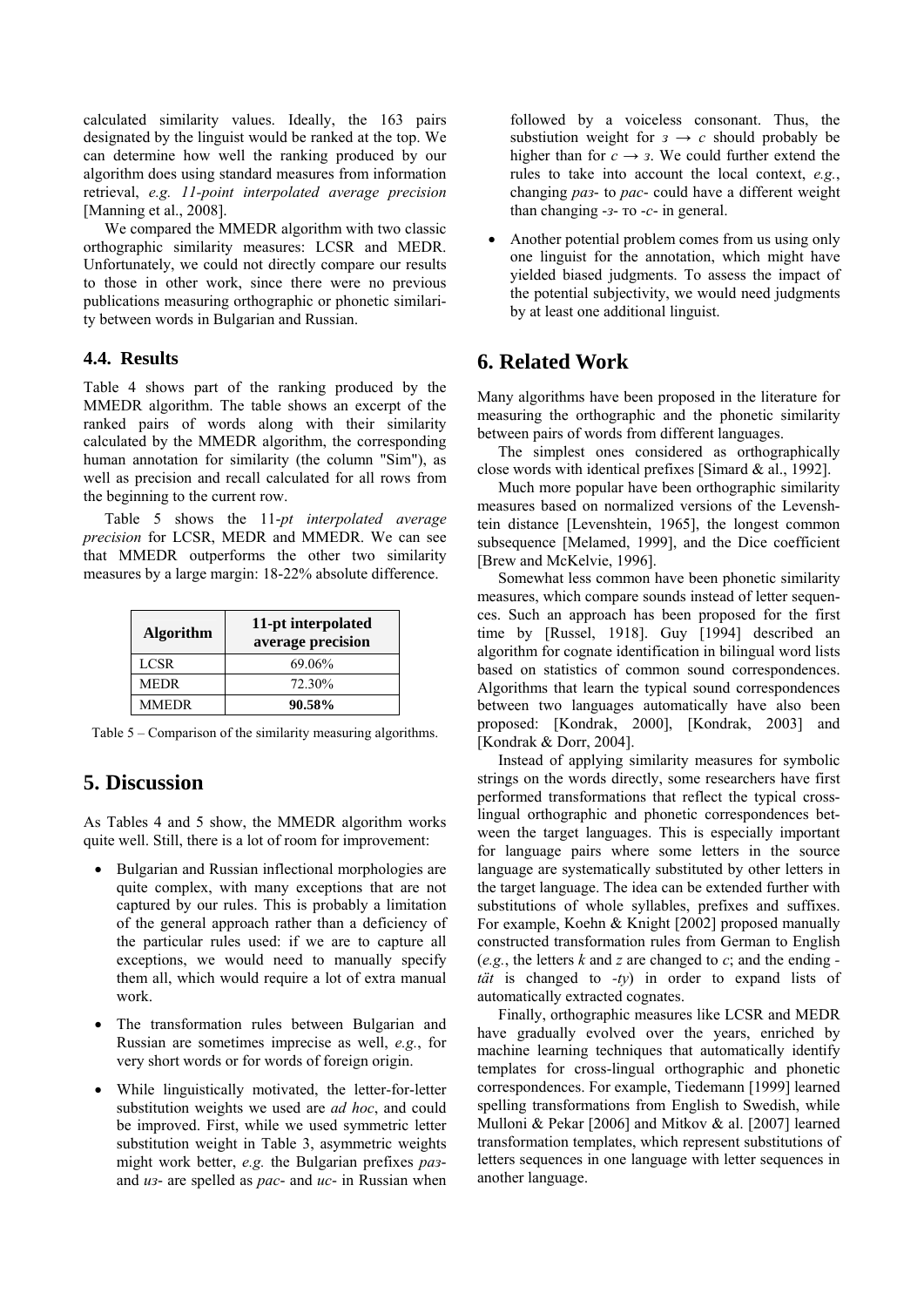calculated similarity values. Ideally, the 163 pairs designated by the linguist would be ranked at the top. We can determine how well the ranking produced by our algorithm does using standard measures from information retrieval, *e.g. 11-point interpolated average precision*  [\[Manning et al., 2008\].](#page-7-0)

We compared the MMEDR algorithm with two classic orthographic similarity measures: LCSR and MEDR. Unfortunately, we could not directly compare our results to those in other work, since there were no previous publications measuring orthographic or phonetic similarity between words in Bulgarian and Russian.

#### **4.4. Results**

[Table 4](#page-0-0) shows part of the ranking produced by the MMEDR algorithm. The table shows an excerpt of the ranked pairs of words along with their similarity calculated by the MMEDR algorithm, the corresponding human annotation for similarity (the column "Sim"), as well as precision and recall calculated for all rows from the beginning to the current row.

[Table 5](#page-0-0) shows the 11-*pt interpolated average precision* for LCSR, MEDR and MMEDR. We can see that MMEDR outperforms the other two similarity measures by a large margin: 18-22% absolute difference.

| <b>Algorithm</b> | 11-pt interpolated<br>average precision |
|------------------|-----------------------------------------|
| LCSR             | 69.06%                                  |
| <b>MEDR</b>      | 72.30%                                  |
| <b>MMEDR</b>     | 90.58%                                  |

Table 5 – Comparison of the similarity measuring algorithms.

# **5. Discussion**

As [Tables 4](#page-0-0) and 5 show, the MMEDR algorithm works quite well. Still, there is a lot of room for improvement:

- Bulgarian and Russian inflectional morphologies are quite complex, with many exceptions that are not captured by our rules. This is probably a limitation of the general approach rather than a deficiency of the particular rules used: if we are to capture all exceptions, we would need to manually specify them all, which would require a lot of extra manual work.
- The transformation rules between Bulgarian and Russian are sometimes imprecise as well, *e.g.*, for very short words or for words of foreign origin.
- While linguistically motivated, the letter-for-letter substitution weights we used are *ad hoc*, and could be improved. First, while we used symmetric letter substitution weight in [Table 3](#page-0-0), asymmetric weights might work better, *e.g.* the Bulgarian prefixes *раз*and *из*- are spelled as *рас*- and *ис*- in Russian when

followed by a voiceless consonant. Thus, the substiution weight for  $3 \rightarrow c$  should probably be higher than for  $c \rightarrow 3$ . We could further extend the rules to take into account the local context, *e.g.*, changing *раз*- to *рас*- could have a different weight than changing -*з*- то -*с*- in general.

• Another potential problem comes from us using only one linguist for the annotation, which might have yielded biased judgments. To assess the impact of the potential subjectivity, we would need judgments by at least one additional linguist.

# **6. Related Work**

Many algorithms have been proposed in the literature for measuring the orthographic and the phonetic similarity between pairs of words from different languages.

The simplest ones considered as orthographically close words with identical prefixes [\[Simard & al., 1992\]](#page-7-0).

Much more popular have been orthographic similarity measures based on normalized versions of the Levenshtein distance [\[Levenshtein, 1965\]](#page-7-0), the longest common subsequence [\[Melamed, 1999\],](#page-7-0) and the Dice coefficient [\[Brew and McKelvie, 1996\].](#page-7-0)

Somewhat less common have been phonetic similarity measures, which compare sounds instead of letter sequences. Such an approach has been proposed for the first time by [\[Russel, 1918\]](#page-7-0). [Guy \[1994\]](#page-7-0) described an algorithm for cognate identification in bilingual word lists based on statistics of common sound correspondences. Algorithms that learn the typical sound correspondences between two languages automatically have also been proposed: [\[Kondrak, 2000\]](#page-7-0), [\[Kondrak, 2003\]](#page-7-0) and [\[Kondrak & Dorr, 2004\].](#page-7-0)

Instead of applying similarity measures for symbolic strings on the words directly, some researchers have first performed transformations that reflect the typical crosslingual orthographic and phonetic correspondences between the target languages. This is especially important for language pairs where some letters in the source language are systematically substituted by other letters in the target language. The idea can be extended further with substitutions of whole syllables, prefixes and suffixes. For example, [Koehn & Knight \[2002\]](#page-7-0) proposed manually constructed transformation rules from German to English  $(e.g., the letters  $k$  and  $z$  are changed to  $c$ ; and the ending$ *tät* is changed to *-ty*) in order to expand lists of automatically extracted cognates.

Finally, orthographic measures like LCSR and MEDR have gradually evolved over the years, enriched by machine learning techniques that automatically identify templates for cross-lingual orthographic and phonetic correspondences. For example, [Tiedemann \[1999\]](#page-7-0) learned spelling transformations from English to Swedish, while [Mulloni & Pekar \[2006\]](#page-7-0) and [Mitkov & al. \[2007\]](#page-7-0) learned transformation templates, which represent substitutions of letters sequences in one language with letter sequences in another language.